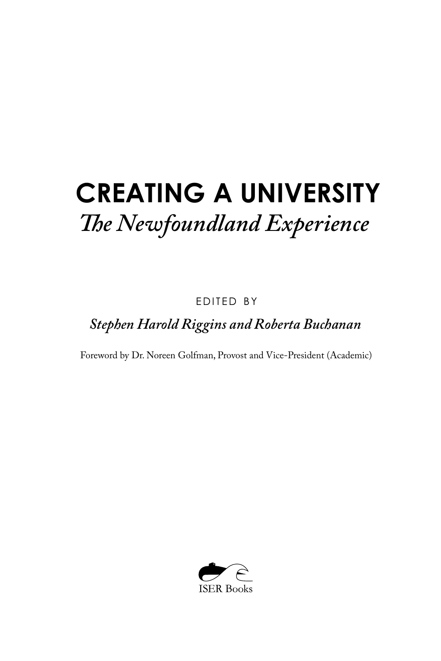# **CREATING A UNIVERSITY** *The Newfoundland Experience*

EDITED BY

*Stephen Harold Riggins and Roberta Buchanan*

Foreword by Dr. Noreen Golfman, Provost and Vice-President (Academic)

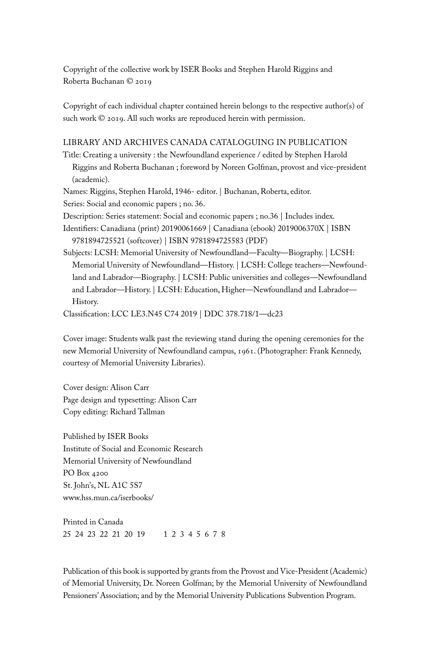Copyright of the collective work by ISER Books and Stephen Harold Riggins and Roberta Buchanan © 2019

Copyright of each individual chapter contained herein belongs to the respective author(s) of such work © 2019. All such works are reproduced herein with permission.

#### LIBRARY AND ARCHIVES CANADA CATALOGUING IN PUBLICATION

Title: Creating a university : the Newfoundland experience / edited by Stephen Harold Riggins and Roberta Buchanan ; foreword by Noreen Golfman, provost and vice-president (academic).

Names: Riggins, Stephen Harold, 1946- editor. | Buchanan, Roberta, editor.

Series: Social and economic papers ; no. 36.

Description: Series statement: Social and economic papers ; no.36 | Includes index.

Identifiers: Canadiana (print) 20190061669 | Canadiana (ebook) 2019006370X | ISBN 9781894725521 (softcover) | ISBN 9781894725583 (PDF)

Subjects: LCSH: Memorial University of Newfoundland—Faculty—Biography. | LCSH: Memorial University of Newfoundland—History. | LCSH: College teachers—Newfoundland and Labrador—Biography. | LCSH: Public universities and colleges—Newfoundland and Labrador—History. | LCSH: Education, Higher—Newfoundland and Labrador— History.

Classification: LCC LE3.N45 C74 2019 | DDC 378.718/1—dc23

Cover image: Students walk past the reviewing stand during the opening ceremonies for the new Memorial University of Newfoundland campus, 1961. (Photographer: Frank Kennedy, courtesy of Memorial University Libraries).

Cover design: Alison Carr Page design and typesetting: Alison Carr Copy editing: Richard Tallman

Published by ISER Books Institute of Social and Economic Research Memorial University of Newfoundland PO Box 4200 St. John's, NL A1C 5S7 www.hss.mun.ca/iserbooks/

Printed in Canada 25 24 23 22 21 20 19 1 2 3 4 5 6 7 8

Publication of this book is supported by grants from the Provost and Vice-President (Academic) of Memorial University, Dr. Noreen Golfman; by the Memorial University of Newfoundland Pensioners' Association; and by the Memorial University Publications Subvention Program.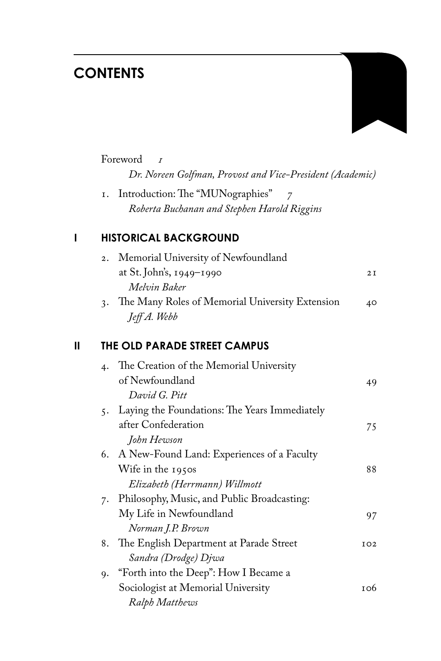## **CONTENTS**



|   |       | Foreword<br>$\overline{r}$                                |    |  |  |
|---|-------|-----------------------------------------------------------|----|--|--|
|   |       | Dr. Noreen Golfman, Provost and Vice-President (Academic) |    |  |  |
|   | I.    | Introduction: The "MUNographies" 7                        |    |  |  |
|   |       | Roberta Buchanan and Stephen Harold Riggins               |    |  |  |
| ı |       | <b>HISTORICAL BACKGROUND</b>                              |    |  |  |
|   | 2.    | Memorial University of Newfoundland                       |    |  |  |
|   |       | at St. John's, 1949–1990                                  | 2I |  |  |
|   |       | Melvin Baker                                              |    |  |  |
|   |       | 3. The Many Roles of Memorial University Extension        | 40 |  |  |
|   |       | Jeff A. Webb                                              |    |  |  |
| Ш |       | THE OLD PARADE STREET CAMPUS                              |    |  |  |
|   | 4.    | The Creation of the Memorial University                   |    |  |  |
|   |       | of Newfoundland                                           | 49 |  |  |
|   |       | David G. Pitt                                             |    |  |  |
|   | $5 -$ | Laying the Foundations: The Years Immediately             |    |  |  |

|    | 5. Laying the Foundations: The Years Immediately |     |
|----|--------------------------------------------------|-----|
|    | after Confederation                              | 75  |
|    | John Hewson                                      |     |
|    | 6. A New-Found Land: Experiences of a Faculty    |     |
|    | Wife in the 1950s                                | 88  |
|    | Elizabeth (Herrmann) Willmott                    |     |
| 7. | Philosophy, Music, and Public Broadcasting:      |     |
|    | My Life in Newfoundland                          | 97  |
|    | Norman J.P. Brown                                |     |
|    | 8. The English Department at Parade Street       | IO2 |
|    | Sandra (Drodge) Djwa                             |     |
| 9. | "Forth into the Deep": How I Became a            |     |
|    | Sociologist at Memorial University               | то6 |
|    | Ralph Matthews                                   |     |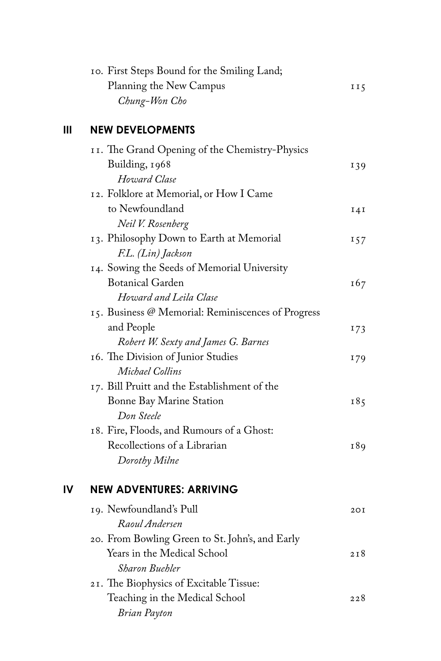| 10. First Steps Bound for the Smiling Land; |     |
|---------------------------------------------|-----|
| Planning the New Campus                     | II5 |
| Chung-Won Cho                               |     |

#### **III NEW DEVELOPMENTS**

| II. The Grand Opening of the Chemistry-Physics     |     |
|----------------------------------------------------|-----|
| Building, 1968                                     | 139 |
| Howard Clase                                       |     |
| 12. Folklore at Memorial, or How I Came            |     |
| to Newfoundland                                    | I4I |
| Neil V. Rosenberg                                  |     |
| 13. Philosophy Down to Earth at Memorial           | 157 |
| F.L. (Lin) Jackson                                 |     |
| 14. Sowing the Seeds of Memorial University        |     |
| <b>Botanical Garden</b>                            | 167 |
| Howard and Leila Clase                             |     |
| 15. Business @ Memorial: Reminiscences of Progress |     |
| and People                                         | 173 |
| Robert W. Sexty and James G. Barnes                |     |
| 16. The Division of Junior Studies                 | 179 |
| Michael Collins                                    |     |
| 17. Bill Pruitt and the Establishment of the       |     |
| Bonne Bay Marine Station                           | 185 |
| Don Steele                                         |     |
| 18. Fire, Floods, and Rumours of a Ghost:          |     |
| Recollections of a Librarian                       | 189 |
| Dorothy Milne                                      |     |
|                                                    |     |

#### **IV NEW ADVENTURES: ARRIVING**

| 19. Newfoundland's Pull                         | 20 I |
|-------------------------------------------------|------|
| Raoul Andersen                                  |      |
| 20. From Bowling Green to St. John's, and Early |      |
| Years in the Medical School                     | 2.18 |
| Sharon Buehler                                  |      |
| 21. The Biophysics of Excitable Tissue:         |      |
| Teaching in the Medical School                  | 2.28 |
| <b>Brian Payton</b>                             |      |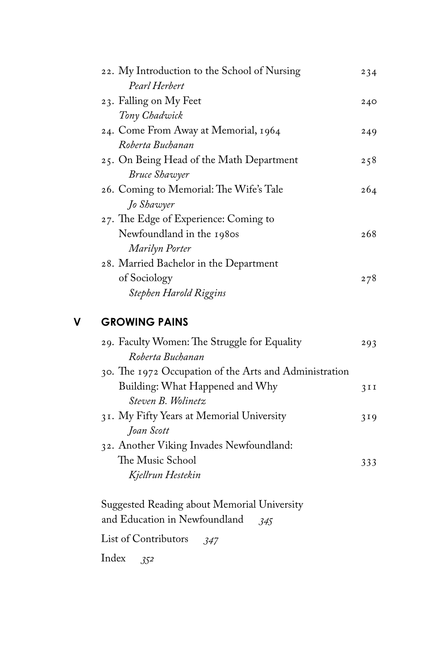| 22. My Introduction to the School of Nursing | 234 |
|----------------------------------------------|-----|
| Pearl Herbert                                |     |
| 23. Falling on My Feet                       | 240 |
| Tony Chadwick                                |     |
| 24. Come From Away at Memorial, 1964         | 249 |
| Roberta Buchanan                             |     |
| 25. On Being Head of the Math Department     | 258 |
| Bruce Shawyer                                |     |
| 26. Coming to Memorial: The Wife's Tale      | 264 |
| Jo Shawyer                                   |     |
| 27. The Edge of Experience: Coming to        |     |
| Newfoundland in the 1980s                    | 268 |
| Marilyn Porter                               |     |
| 28. Married Bachelor in the Department       |     |
| of Sociology                                 | 278 |
| Stephen Harold Riggins                       |     |
|                                              |     |

#### **V GROWING PAINS**

| 29. Faculty Women: The Struggle for Equality           | 293 |
|--------------------------------------------------------|-----|
| Roberta Buchanan                                       |     |
| 30. The 1972 Occupation of the Arts and Administration |     |
| Building: What Happened and Why                        | 3II |
| Steven B. Wolinetz.                                    |     |
| 31. My Fifty Years at Memorial University              | 319 |
| Joan Scott                                             |     |
| 32. Another Viking Invades Newfoundland:               |     |
| The Music School                                       | 333 |
| Kjellrun Hestekin                                      |     |
|                                                        |     |

 Suggested Reading about Memorial University and Education in Newfoundland *345* List of Contributors *347*

Index *352*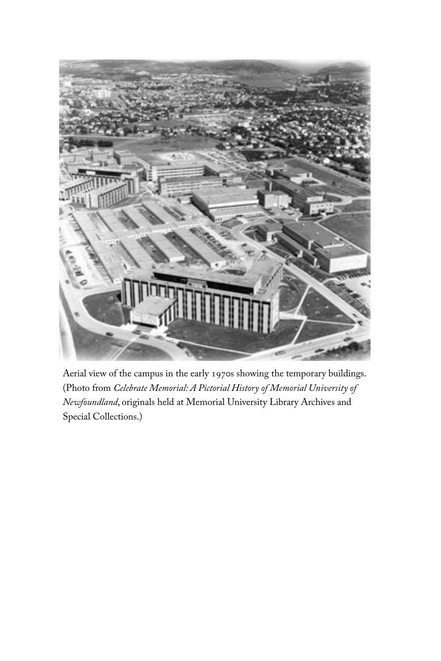

Aerial view of the campus in the early 1970s showing the temporary buildings. (Photo from *Celebrate Memorial: A Pictorial History of Memorial University of Newfoundland*, originals held at Memorial University Library Archives and Special Collections.)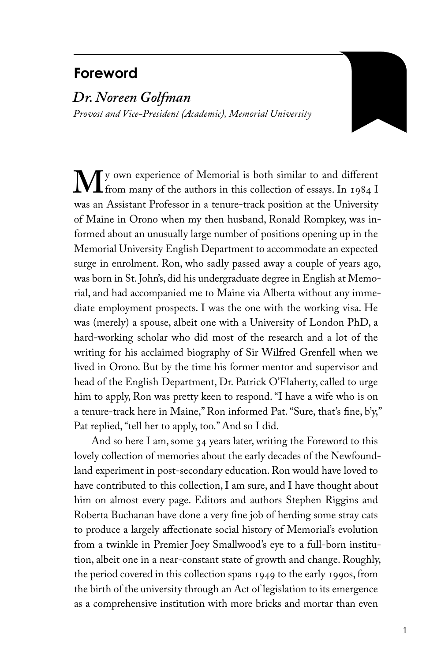### **Foreword**

#### *Dr. Noreen Golfman*

*Provost and Vice-President (Academic), Memorial University*

**M**y own experience of Memorial is both similar to and different<br>from many of the authors in this collection of essays. In 1984 I<br>was an Assistant Professor in a tenure-track position at the University from many of the authors in this collection of essays. In 1984 I was an Assistant Professor in a tenure-track position at the University of Maine in Orono when my then husband, Ronald Rompkey, was informed about an unusually large number of positions opening up in the Memorial University English Department to accommodate an expected surge in enrolment. Ron, who sadly passed away a couple of years ago, was born in St. John's, did his undergraduate degree in English at Memorial, and had accompanied me to Maine via Alberta without any immediate employment prospects. I was the one with the working visa. He was (merely) a spouse, albeit one with a University of London PhD, a hard-working scholar who did most of the research and a lot of the writing for his acclaimed biography of Sir Wilfred Grenfell when we lived in Orono. But by the time his former mentor and supervisor and head of the English Department, Dr. Patrick O'Flaherty, called to urge him to apply, Ron was pretty keen to respond. "I have a wife who is on a tenure-track here in Maine," Ron informed Pat. "Sure, that's fine, b'y," Pat replied, "tell her to apply, too." And so I did.

And so here I am, some 34 years later, writing the Foreword to this lovely collection of memories about the early decades of the Newfoundland experiment in post-secondary education. Ron would have loved to have contributed to this collection, I am sure, and I have thought about him on almost every page. Editors and authors Stephen Riggins and Roberta Buchanan have done a very fine job of herding some stray cats to produce a largely affectionate social history of Memorial's evolution from a twinkle in Premier Joey Smallwood's eye to a full-born institution, albeit one in a near-constant state of growth and change. Roughly, the period covered in this collection spans 1949 to the early 1990s, from the birth of the university through an Act of legislation to its emergence as a comprehensive institution with more bricks and mortar than even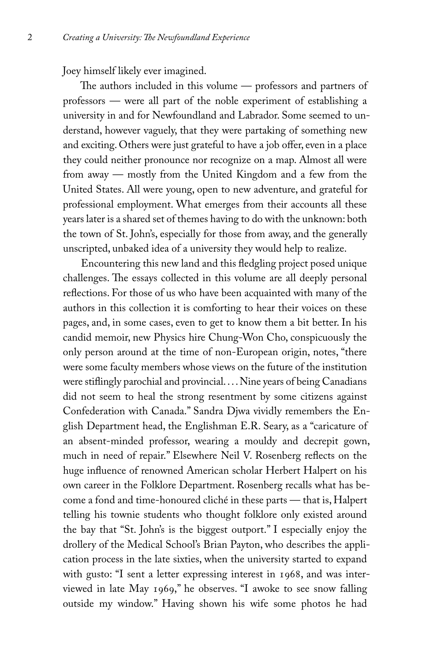Joey himself likely ever imagined.

The authors included in this volume — professors and partners of professors — were all part of the noble experiment of establishing a university in and for Newfoundland and Labrador. Some seemed to understand, however vaguely, that they were partaking of something new and exciting. Others were just grateful to have a job offer, even in a place they could neither pronounce nor recognize on a map. Almost all were from away — mostly from the United Kingdom and a few from the United States. All were young, open to new adventure, and grateful for professional employment. What emerges from their accounts all these years later is a shared set of themes having to do with the unknown: both the town of St. John's, especially for those from away, and the generally unscripted, unbaked idea of a university they would help to realize.

Encountering this new land and this fledgling project posed unique challenges. The essays collected in this volume are all deeply personal reflections. For those of us who have been acquainted with many of the authors in this collection it is comforting to hear their voices on these pages, and, in some cases, even to get to know them a bit better. In his candid memoir, new Physics hire Chung-Won Cho, conspicuously the only person around at the time of non-European origin, notes, "there were some faculty members whose views on the future of the institution were stiflingly parochial and provincial. . . . Nine years of being Canadians did not seem to heal the strong resentment by some citizens against Confederation with Canada." Sandra Djwa vividly remembers the English Department head, the Englishman E.R. Seary, as a "caricature of an absent-minded professor, wearing a mouldy and decrepit gown, much in need of repair." Elsewhere Neil V. Rosenberg reflects on the huge influence of renowned American scholar Herbert Halpert on his own career in the Folklore Department. Rosenberg recalls what has become a fond and time-honoured cliché in these parts — that is, Halpert telling his townie students who thought folklore only existed around the bay that "St. John's is the biggest outport." I especially enjoy the drollery of the Medical School's Brian Payton, who describes the application process in the late sixties, when the university started to expand with gusto: "I sent a letter expressing interest in 1968, and was interviewed in late May 1969," he observes. "I awoke to see snow falling outside my window." Having shown his wife some photos he had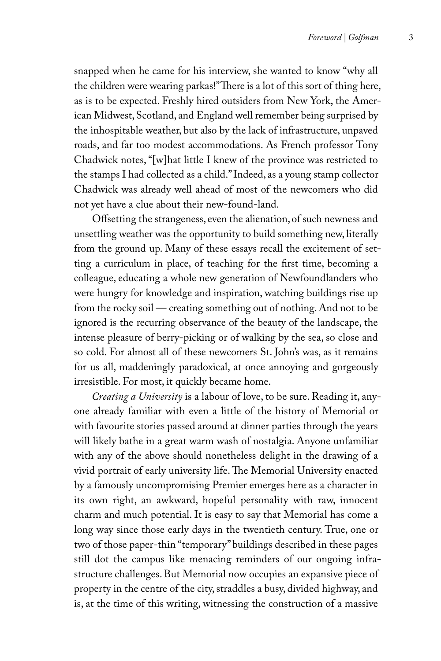snapped when he came for his interview, she wanted to know "why all the children were wearing parkas!" There is a lot of this sort of thing here, as is to be expected. Freshly hired outsiders from New York, the American Midwest, Scotland, and England well remember being surprised by the inhospitable weather, but also by the lack of infrastructure, unpaved roads, and far too modest accommodations. As French professor Tony Chadwick notes, "[w]hat little I knew of the province was restricted to the stamps I had collected as a child." Indeed, as a young stamp collector Chadwick was already well ahead of most of the newcomers who did not yet have a clue about their new-found-land.

Offsetting the strangeness, even the alienation, of such newness and unsettling weather was the opportunity to build something new, literally from the ground up. Many of these essays recall the excitement of setting a curriculum in place, of teaching for the first time, becoming a colleague, educating a whole new generation of Newfoundlanders who were hungry for knowledge and inspiration, watching buildings rise up from the rocky soil — creating something out of nothing. And not to be ignored is the recurring observance of the beauty of the landscape, the intense pleasure of berry-picking or of walking by the sea, so close and so cold. For almost all of these newcomers St. John's was, as it remains for us all, maddeningly paradoxical, at once annoying and gorgeously irresistible. For most, it quickly became home.

*Creating a University* is a labour of love, to be sure. Reading it, anyone already familiar with even a little of the history of Memorial or with favourite stories passed around at dinner parties through the years will likely bathe in a great warm wash of nostalgia. Anyone unfamiliar with any of the above should nonetheless delight in the drawing of a vivid portrait of early university life. The Memorial University enacted by a famously uncompromising Premier emerges here as a character in its own right, an awkward, hopeful personality with raw, innocent charm and much potential. It is easy to say that Memorial has come a long way since those early days in the twentieth century. True, one or two of those paper-thin "temporary" buildings described in these pages still dot the campus like menacing reminders of our ongoing infrastructure challenges. But Memorial now occupies an expansive piece of property in the centre of the city, straddles a busy, divided highway, and is, at the time of this writing, witnessing the construction of a massive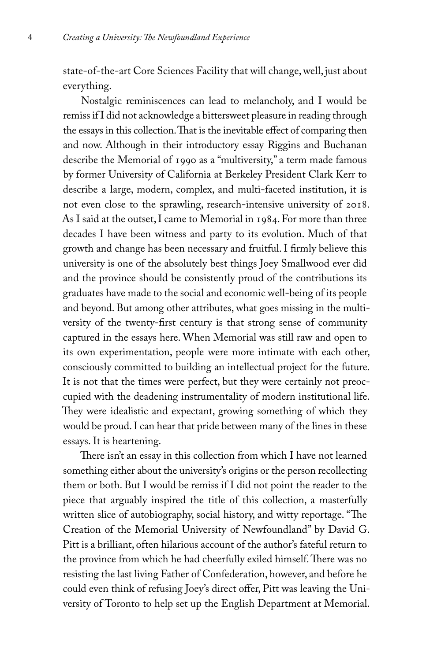state-of-the-art Core Sciences Facility that will change, well, just about everything.

Nostalgic reminiscences can lead to melancholy, and I would be remiss if I did not acknowledge a bittersweet pleasure in reading through the essays in this collection. That is the inevitable effect of comparing then and now. Although in their introductory essay Riggins and Buchanan describe the Memorial of 1990 as a "multiversity," a term made famous by former University of California at Berkeley President Clark Kerr to describe a large, modern, complex, and multi-faceted institution, it is not even close to the sprawling, research-intensive university of 2018. As I said at the outset, I came to Memorial in 1984. For more than three decades I have been witness and party to its evolution. Much of that growth and change has been necessary and fruitful. I firmly believe this university is one of the absolutely best things Joey Smallwood ever did and the province should be consistently proud of the contributions its graduates have made to the social and economic well-being of its people and beyond. But among other attributes, what goes missing in the multiversity of the twenty-first century is that strong sense of community captured in the essays here. When Memorial was still raw and open to its own experimentation, people were more intimate with each other, consciously committed to building an intellectual project for the future. It is not that the times were perfect, but they were certainly not preoccupied with the deadening instrumentality of modern institutional life. They were idealistic and expectant, growing something of which they would be proud. I can hear that pride between many of the lines in these essays. It is heartening.

There isn't an essay in this collection from which I have not learned something either about the university's origins or the person recollecting them or both. But I would be remiss if I did not point the reader to the piece that arguably inspired the title of this collection, a masterfully written slice of autobiography, social history, and witty reportage. "The Creation of the Memorial University of Newfoundland" by David G. Pitt is a brilliant, often hilarious account of the author's fateful return to the province from which he had cheerfully exiled himself. There was no resisting the last living Father of Confederation, however, and before he could even think of refusing Joey's direct offer, Pitt was leaving the University of Toronto to help set up the English Department at Memorial.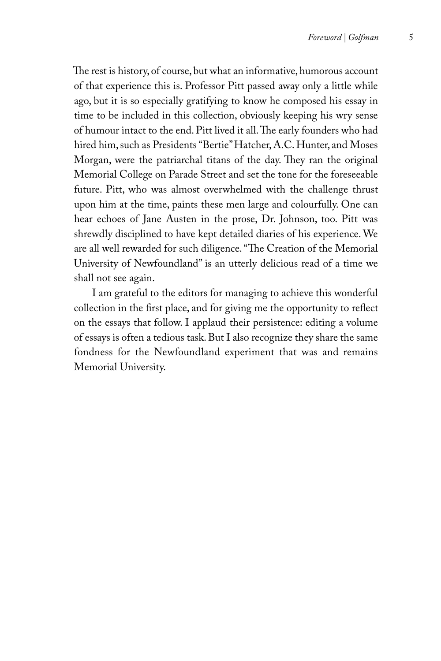The rest is history, of course, but what an informative, humorous account of that experience this is. Professor Pitt passed away only a little while ago, but it is so especially gratifying to know he composed his essay in time to be included in this collection, obviously keeping his wry sense of humour intact to the end. Pitt lived it all. The early founders who had hired him, such as Presidents "Bertie" Hatcher, A.C. Hunter, and Moses Morgan, were the patriarchal titans of the day. They ran the original Memorial College on Parade Street and set the tone for the foreseeable future. Pitt, who was almost overwhelmed with the challenge thrust upon him at the time, paints these men large and colourfully. One can hear echoes of Jane Austen in the prose, Dr. Johnson, too. Pitt was shrewdly disciplined to have kept detailed diaries of his experience. We are all well rewarded for such diligence. "The Creation of the Memorial University of Newfoundland" is an utterly delicious read of a time we shall not see again.

I am grateful to the editors for managing to achieve this wonderful collection in the first place, and for giving me the opportunity to reflect on the essays that follow. I applaud their persistence: editing a volume of essays is often a tedious task. But I also recognize they share the same fondness for the Newfoundland experiment that was and remains Memorial University.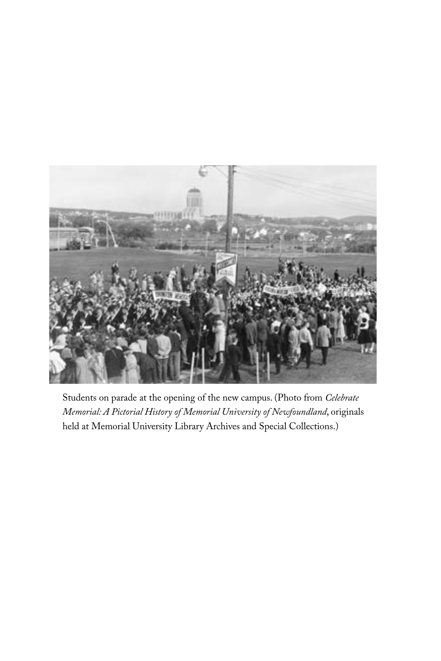

Students on parade at the opening of the new campus. (Photo from *Celebrate Memorial: A Pictorial History of Memorial University of Newfoundland*, originals held at Memorial University Library Archives and Special Collections.)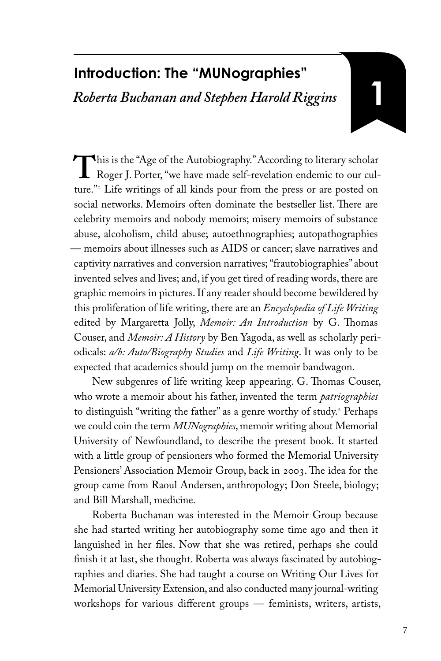## **Introduction: The "MUNographies"** *Roberta Buchanan and Stephen Harold Riggins*

This is the "Age of the Autobiography." According to literary scholar<br>Roger J. Porter, "we have made self-revelation endemic to our cul-<br>ture "<sup>1</sup> I ife writings of all kinds pour from the press or are posted on Roger J. Porter, "we have made self-revelation endemic to our culture."1 Life writings of all kinds pour from the press or are posted on social networks. Memoirs often dominate the bestseller list. There are celebrity memoirs and nobody memoirs; misery memoirs of substance abuse, alcoholism, child abuse; autoethnographies; autopathographies — memoirs about illnesses such as AIDS or cancer; slave narratives and captivity narratives and conversion narratives; "frautobiographies" about invented selves and lives; and, if you get tired of reading words, there are graphic memoirs in pictures. If any reader should become bewildered by this proliferation of life writing, there are an *Encyclopedia of Life Writing* edited by Margaretta Jolly, *Memoir: An Introduction* by G. Thomas Couser, and *Memoir: A History* by Ben Yagoda, as well as scholarly periodicals: *a/b: Auto/Biography Studies* and *Life Writing*. It was only to be expected that academics should jump on the memoir bandwagon.

New subgenres of life writing keep appearing. G. Thomas Couser, who wrote a memoir about his father, invented the term *patriographies*  to distinguish "writing the father" as a genre worthy of study.2 Perhaps we could coin the term *MUNographies*, memoir writing about Memorial University of Newfoundland, to describe the present book. It started with a little group of pensioners who formed the Memorial University Pensioners' Association Memoir Group, back in 2003. The idea for the group came from Raoul Andersen, anthropology; Don Steele, biology; and Bill Marshall, medicine.

Roberta Buchanan was interested in the Memoir Group because she had started writing her autobiography some time ago and then it languished in her files. Now that she was retired, perhaps she could finish it at last, she thought. Roberta was always fascinated by autobiographies and diaries. She had taught a course on Writing Our Lives for Memorial University Extension, and also conducted many journal-writing workshops for various different groups — feminists, writers, artists,

**1**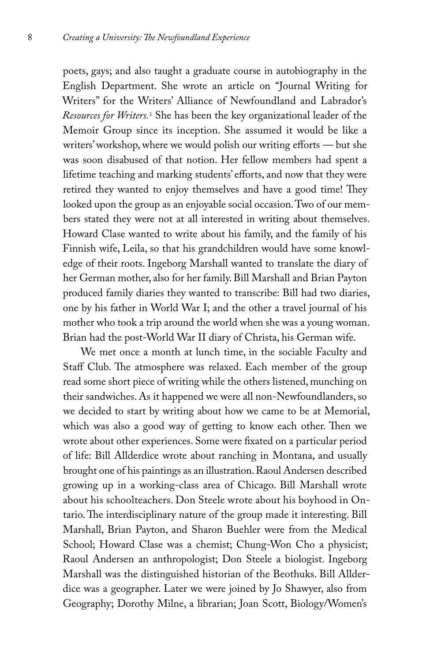poets, gays; and also taught a graduate course in autobiography in the English Department. She wrote an article on "Journal Writing for Writers" for the Writers' Alliance of Newfoundland and Labrador's *Resources for Writers.*<sup>3</sup> She has been the key organizational leader of the Memoir Group since its inception. She assumed it would be like a writers' workshop, where we would polish our writing efforts — but she was soon disabused of that notion. Her fellow members had spent a lifetime teaching and marking students' efforts, and now that they were retired they wanted to enjoy themselves and have a good time! They looked upon the group as an enjoyable social occasion. Two of our members stated they were not at all interested in writing about themselves. Howard Clase wanted to write about his family, and the family of his Finnish wife, Leila, so that his grandchildren would have some knowledge of their roots. Ingeborg Marshall wanted to translate the diary of her German mother, also for her family. Bill Marshall and Brian Payton produced family diaries they wanted to transcribe: Bill had two diaries, one by his father in World War I; and the other a travel journal of his mother who took a trip around the world when she was a young woman. Brian had the post-World War II diary of Christa, his German wife.

We met once a month at lunch time, in the sociable Faculty and Staff Club. The atmosphere was relaxed. Each member of the group read some short piece of writing while the others listened, munching on their sandwiches. As it happened we were all non-Newfoundlanders, so we decided to start by writing about how we came to be at Memorial, which was also a good way of getting to know each other. Then we wrote about other experiences. Some were fixated on a particular period of life: Bill Allderdice wrote about ranching in Montana, and usually brought one of his paintings as an illustration. Raoul Andersen described growing up in a working-class area of Chicago. Bill Marshall wrote about his schoolteachers. Don Steele wrote about his boyhood in Ontario. The interdisciplinary nature of the group made it interesting. Bill Marshall, Brian Payton, and Sharon Buehler were from the Medical School; Howard Clase was a chemist; Chung-Won Cho a physicist; Raoul Andersen an anthropologist; Don Steele a biologist. Ingeborg Marshall was the distinguished historian of the Beothuks. Bill Allderdice was a geographer. Later we were joined by Jo Shawyer, also from Geography; Dorothy Milne, a librarian; Joan Scott, Biology/Women's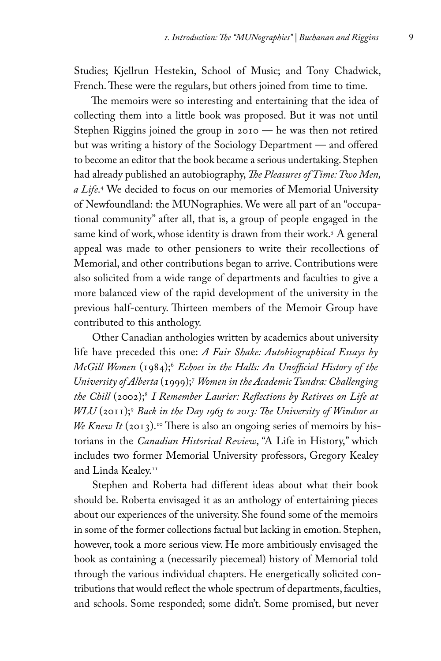Studies; Kjellrun Hestekin, School of Music; and Tony Chadwick, French. These were the regulars, but others joined from time to time.

The memoirs were so interesting and entertaining that the idea of collecting them into a little book was proposed. But it was not until Stephen Riggins joined the group in 2010 — he was then not retired but was writing a history of the Sociology Department — and offered to become an editor that the book became a serious undertaking. Stephen had already published an autobiography, *The Pleasures of Time: Two Men, a Life*. 4 We decided to focus on our memories of Memorial University of Newfoundland: the MUNographies. We were all part of an "occupational community" after all, that is, a group of people engaged in the same kind of work, whose identity is drawn from their work.5 A general appeal was made to other pensioners to write their recollections of Memorial, and other contributions began to arrive. Contributions were also solicited from a wide range of departments and faculties to give a more balanced view of the rapid development of the university in the previous half-century. Thirteen members of the Memoir Group have contributed to this anthology.

Other Canadian anthologies written by academics about university life have preceded this one: *A Fair Shake: Autobiographical Essays by McGill Women* (1984);6 *Echoes in the Halls: An Unofficial History of the University of Alberta* (1999);7 *Women in the Academic Tundra: Challenging the Chill* (2002);8 *I Remember Laurier: Reflections by Retirees on Life at WLU* (2011);9 *Back in the Day 1963 to 2013: The University of Windsor as We Knew It* (2013).<sup>10</sup> There is also an ongoing series of memoirs by historians in the *Canadian Historical Review*, "A Life in History," which includes two former Memorial University professors, Gregory Kealey and Linda Kealey.<sup>11</sup>

Stephen and Roberta had different ideas about what their book should be. Roberta envisaged it as an anthology of entertaining pieces about our experiences of the university. She found some of the memoirs in some of the former collections factual but lacking in emotion. Stephen, however, took a more serious view. He more ambitiously envisaged the book as containing a (necessarily piecemeal) history of Memorial told through the various individual chapters. He energetically solicited contributions that would reflect the whole spectrum of departments, faculties, and schools. Some responded; some didn't. Some promised, but never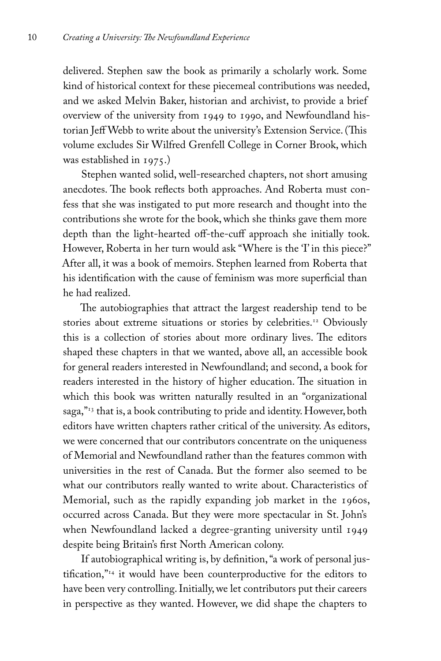delivered. Stephen saw the book as primarily a scholarly work. Some kind of historical context for these piecemeal contributions was needed, and we asked Melvin Baker, historian and archivist, to provide a brief overview of the university from 1949 to 1990, and Newfoundland historian Jeff Webb to write about the university's Extension Service. (This volume excludes Sir Wilfred Grenfell College in Corner Brook, which was established in 1975.)

Stephen wanted solid, well-researched chapters, not short amusing anecdotes. The book reflects both approaches. And Roberta must confess that she was instigated to put more research and thought into the contributions she wrote for the book, which she thinks gave them more depth than the light-hearted off-the-cuff approach she initially took. However, Roberta in her turn would ask "Where is the 'I' in this piece?" After all, it was a book of memoirs. Stephen learned from Roberta that his identification with the cause of feminism was more superficial than he had realized.

The autobiographies that attract the largest readership tend to be stories about extreme situations or stories by celebrities.<sup>12</sup> Obviously this is a collection of stories about more ordinary lives. The editors shaped these chapters in that we wanted, above all, an accessible book for general readers interested in Newfoundland; and second, a book for readers interested in the history of higher education. The situation in which this book was written naturally resulted in an "organizational saga,"<sup>13</sup> that is, a book contributing to pride and identity. However, both editors have written chapters rather critical of the university. As editors, we were concerned that our contributors concentrate on the uniqueness of Memorial and Newfoundland rather than the features common with universities in the rest of Canada. But the former also seemed to be what our contributors really wanted to write about. Characteristics of Memorial, such as the rapidly expanding job market in the 1960s, occurred across Canada. But they were more spectacular in St. John's when Newfoundland lacked a degree-granting university until 1949 despite being Britain's first North American colony.

If autobiographical writing is, by definition, "a work of personal justification, $\frac{1}{14}$  it would have been counterproductive for the editors to have been very controlling. Initially, we let contributors put their careers in perspective as they wanted. However, we did shape the chapters to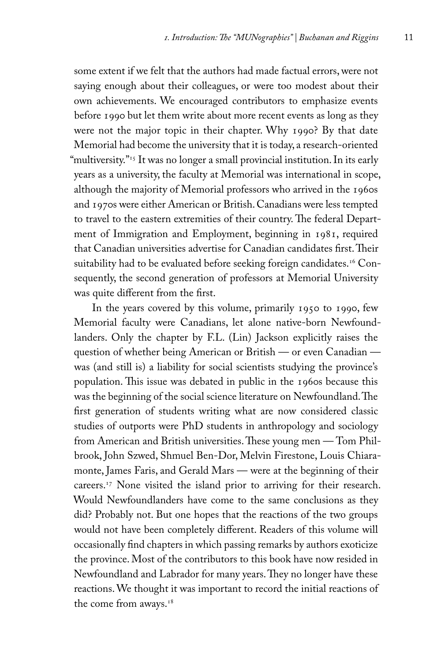some extent if we felt that the authors had made factual errors, were not saying enough about their colleagues, or were too modest about their own achievements. We encouraged contributors to emphasize events before 1990 but let them write about more recent events as long as they were not the major topic in their chapter. Why 1990? By that date Memorial had become the university that it is today, a research-oriented "multiversity."<sup>15</sup> It was no longer a small provincial institution. In its early years as a university, the faculty at Memorial was international in scope, although the majority of Memorial professors who arrived in the 1960s and 1970s were either American or British. Canadians were less tempted to travel to the eastern extremities of their country. The federal Department of Immigration and Employment, beginning in 1981, required that Canadian universities advertise for Canadian candidates first. Their suitability had to be evaluated before seeking foreign candidates.<sup>16</sup> Consequently, the second generation of professors at Memorial University was quite different from the first.

In the years covered by this volume, primarily 1950 to 1990, few Memorial faculty were Canadians, let alone native-born Newfoundlanders. Only the chapter by F.L. (Lin) Jackson explicitly raises the question of whether being American or British — or even Canadian was (and still is) a liability for social scientists studying the province's population. This issue was debated in public in the 1960s because this was the beginning of the social science literature on Newfoundland. The first generation of students writing what are now considered classic studies of outports were PhD students in anthropology and sociology from American and British universities. These young men — Tom Philbrook, John Szwed, Shmuel Ben-Dor, Melvin Firestone, Louis Chiaramonte, James Faris, and Gerald Mars — were at the beginning of their careers.17 None visited the island prior to arriving for their research. Would Newfoundlanders have come to the same conclusions as they did? Probably not. But one hopes that the reactions of the two groups would not have been completely different. Readers of this volume will occasionally find chapters in which passing remarks by authors exoticize the province. Most of the contributors to this book have now resided in Newfoundland and Labrador for many years. They no longer have these reactions. We thought it was important to record the initial reactions of the come from aways.<sup>18</sup>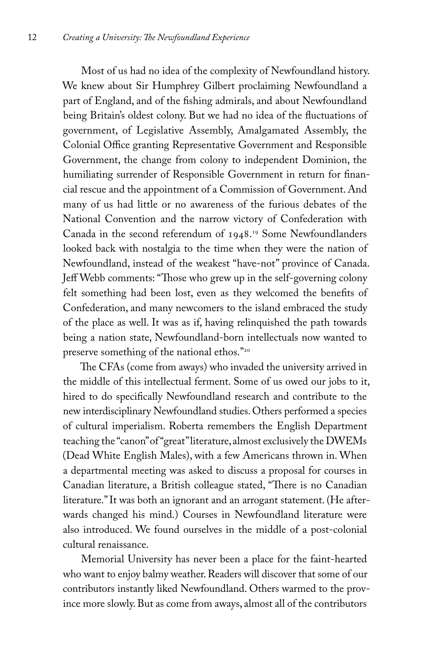Most of us had no idea of the complexity of Newfoundland history. We knew about Sir Humphrey Gilbert proclaiming Newfoundland a part of England, and of the fishing admirals, and about Newfoundland being Britain's oldest colony. But we had no idea of the fluctuations of government, of Legislative Assembly, Amalgamated Assembly, the Colonial Office granting Representative Government and Responsible Government, the change from colony to independent Dominion, the humiliating surrender of Responsible Government in return for financial rescue and the appointment of a Commission of Government. And many of us had little or no awareness of the furious debates of the National Convention and the narrow victory of Confederation with Canada in the second referendum of 1948. 19 Some Newfoundlanders looked back with nostalgia to the time when they were the nation of Newfoundland, instead of the weakest "have-not" province of Canada. Jeff Webb comments: "Those who grew up in the self-governing colony felt something had been lost, even as they welcomed the benefits of Confederation, and many newcomers to the island embraced the study of the place as well. It was as if, having relinquished the path towards being a nation state, Newfoundland-born intellectuals now wanted to preserve something of the national ethos."20

The CFAs (come from aways) who invaded the university arrived in the middle of this intellectual ferment. Some of us owed our jobs to it, hired to do specifically Newfoundland research and contribute to the new interdisciplinary Newfoundland studies. Others performed a species of cultural imperialism. Roberta remembers the English Department teaching the "canon" of "great" literature, almost exclusively the DWEMs (Dead White English Males), with a few Americans thrown in. When a departmental meeting was asked to discuss a proposal for courses in Canadian literature, a British colleague stated, "There is no Canadian literature." It was both an ignorant and an arrogant statement. (He afterwards changed his mind.) Courses in Newfoundland literature were also introduced. We found ourselves in the middle of a post-colonial cultural renaissance.

Memorial University has never been a place for the faint-hearted who want to enjoy balmy weather. Readers will discover that some of our contributors instantly liked Newfoundland. Others warmed to the province more slowly. But as come from aways, almost all of the contributors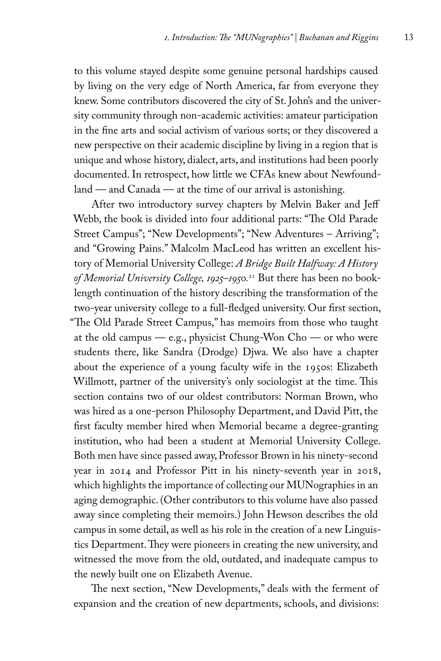to this volume stayed despite some genuine personal hardships caused by living on the very edge of North America, far from everyone they knew. Some contributors discovered the city of St. John's and the university community through non-academic activities: amateur participation in the fine arts and social activism of various sorts; or they discovered a new perspective on their academic discipline by living in a region that is unique and whose history, dialect, arts, and institutions had been poorly documented. In retrospect, how little we CFAs knew about Newfoundland — and Canada — at the time of our arrival is astonishing.

After two introductory survey chapters by Melvin Baker and Jeff Webb, the book is divided into four additional parts: "The Old Parade Street Campus"; "New Developments"; "New Adventures – Arriving"; and "Growing Pains." Malcolm MacLeod has written an excellent history of Memorial University College: *A Bridge Built Halfway: A History of Memorial University College, 1925–1950.*21 But there has been no booklength continuation of the history describing the transformation of the two-year university college to a full-fledged university. Our first section, "The Old Parade Street Campus," has memoirs from those who taught at the old campus — e.g., physicist Chung-Won  $Cho$  — or who were students there, like Sandra (Drodge) Djwa. We also have a chapter about the experience of a young faculty wife in the 1950s: Elizabeth Willmott, partner of the university's only sociologist at the time. This section contains two of our oldest contributors: Norman Brown, who was hired as a one-person Philosophy Department, and David Pitt, the first faculty member hired when Memorial became a degree-granting institution, who had been a student at Memorial University College. Both men have since passed away, Professor Brown in his ninety-second year in 2014 and Professor Pitt in his ninety-seventh year in 2018, which highlights the importance of collecting our MUNographies in an aging demographic. (Other contributors to this volume have also passed away since completing their memoirs.) John Hewson describes the old campus in some detail, as well as his role in the creation of a new Linguistics Department. They were pioneers in creating the new university, and witnessed the move from the old, outdated, and inadequate campus to the newly built one on Elizabeth Avenue.

The next section, "New Developments," deals with the ferment of expansion and the creation of new departments, schools, and divisions: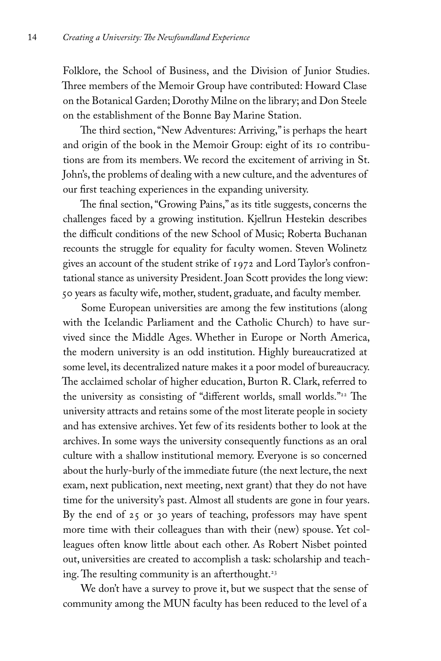Folklore, the School of Business, and the Division of Junior Studies. Three members of the Memoir Group have contributed: Howard Clase on the Botanical Garden; Dorothy Milne on the library; and Don Steele on the establishment of the Bonne Bay Marine Station.

The third section, "New Adventures: Arriving," is perhaps the heart and origin of the book in the Memoir Group: eight of its 10 contributions are from its members. We record the excitement of arriving in St. John's, the problems of dealing with a new culture, and the adventures of our first teaching experiences in the expanding university.

The final section, "Growing Pains," as its title suggests, concerns the challenges faced by a growing institution. Kjellrun Hestekin describes the difficult conditions of the new School of Music; Roberta Buchanan recounts the struggle for equality for faculty women. Steven Wolinetz gives an account of the student strike of 1972 and Lord Taylor's confrontational stance as university President.Joan Scott provides the long view: 50 years as faculty wife, mother, student, graduate, and faculty member.

Some European universities are among the few institutions (along with the Icelandic Parliament and the Catholic Church) to have survived since the Middle Ages. Whether in Europe or North America, the modern university is an odd institution. Highly bureaucratized at some level, its decentralized nature makes it a poor model of bureaucracy. The acclaimed scholar of higher education, Burton R. Clark, referred to the university as consisting of "different worlds, small worlds."<sup>22</sup> The university attracts and retains some of the most literate people in society and has extensive archives. Yet few of its residents bother to look at the archives. In some ways the university consequently functions as an oral culture with a shallow institutional memory. Everyone is so concerned about the hurly-burly of the immediate future (the next lecture, the next exam, next publication, next meeting, next grant) that they do not have time for the university's past. Almost all students are gone in four years. By the end of 25 or 30 years of teaching, professors may have spent more time with their colleagues than with their (new) spouse. Yet colleagues often know little about each other. As Robert Nisbet pointed out, universities are created to accomplish a task: scholarship and teaching. The resulting community is an afterthought.<sup>23</sup>

We don't have a survey to prove it, but we suspect that the sense of community among the MUN faculty has been reduced to the level of a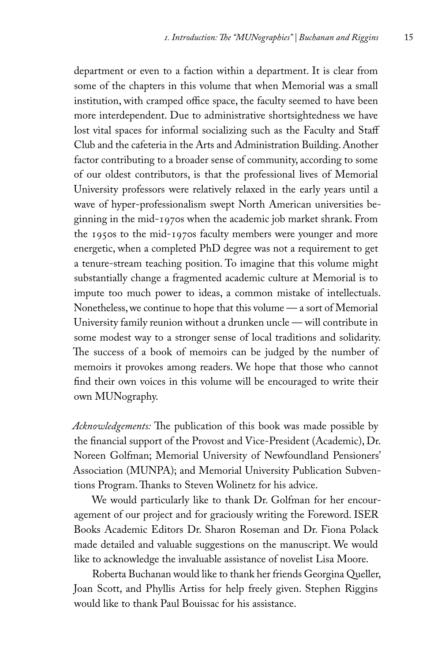department or even to a faction within a department. It is clear from some of the chapters in this volume that when Memorial was a small institution, with cramped office space, the faculty seemed to have been more interdependent. Due to administrative shortsightedness we have lost vital spaces for informal socializing such as the Faculty and Staff Club and the cafeteria in the Arts and Administration Building. Another factor contributing to a broader sense of community, according to some of our oldest contributors, is that the professional lives of Memorial University professors were relatively relaxed in the early years until a wave of hyper-professionalism swept North American universities beginning in the mid-1970s when the academic job market shrank. From the 1950s to the mid-1970s faculty members were younger and more energetic, when a completed PhD degree was not a requirement to get a tenure-stream teaching position. To imagine that this volume might substantially change a fragmented academic culture at Memorial is to impute too much power to ideas, a common mistake of intellectuals. Nonetheless, we continue to hope that this volume — a sort of Memorial University family reunion without a drunken uncle — will contribute in some modest way to a stronger sense of local traditions and solidarity. The success of a book of memoirs can be judged by the number of memoirs it provokes among readers. We hope that those who cannot find their own voices in this volume will be encouraged to write their own MUNography.

*Acknowledgements:* The publication of this book was made possible by the financial support of the Provost and Vice-President (Academic), Dr. Noreen Golfman; Memorial University of Newfoundland Pensioners' Association (MUNPA); and Memorial University Publication Subventions Program. Thanks to Steven Wolinetz for his advice.

We would particularly like to thank Dr. Golfman for her encouragement of our project and for graciously writing the Foreword. ISER Books Academic Editors Dr. Sharon Roseman and Dr. Fiona Polack made detailed and valuable suggestions on the manuscript. We would like to acknowledge the invaluable assistance of novelist Lisa Moore.

Roberta Buchanan would like to thank her friends Georgina Queller, Joan Scott, and Phyllis Artiss for help freely given. Stephen Riggins would like to thank Paul Bouissac for his assistance.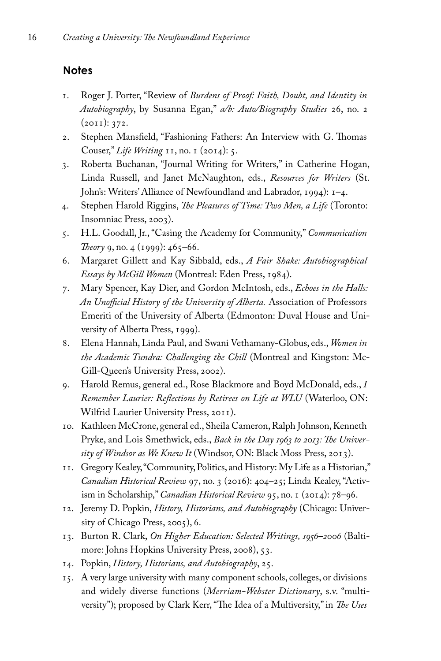#### **Notes**

- 1. Roger J. Porter, "Review of *Burdens of Proof: Faith, Doubt, and Identity in Autobiography*, by Susanna Egan," *a/b: Auto/Biography Studies* 26, no. 2 (2011): 372.
- 2. Stephen Mansfield, "Fashioning Fathers: An Interview with G. Thomas Couser," *Life Writing* 11, no. 1 (2014): 5.
- 3. Roberta Buchanan, "Journal Writing for Writers," in Catherine Hogan, Linda Russell, and Janet McNaughton, eds., *Resources for Writers* (St. John's: Writers' Alliance of Newfoundland and Labrador, 1994): 1–4.
- 4. Stephen Harold Riggins, *The Pleasures of Time: Two Men, a Life* (Toronto: Insomniac Press, 2003).
- 5. H.L. Goodall, Jr., "Casing the Academy for Community," *Communication Theory* 9, no. 4 (1999): 465–66.
- 6. Margaret Gillett and Kay Sibbald, eds., *A Fair Shake: Autobiographical Essays by McGill Women* (Montreal: Eden Press, 1984).
- 7. Mary Spencer, Kay Dier, and Gordon McIntosh, eds., *Echoes in the Halls: An Unofficial History of the University of Alberta.* Association of Professors Emeriti of the University of Alberta (Edmonton: Duval House and University of Alberta Press, 1999).
- 8. Elena Hannah, Linda Paul, and Swani Vethamany-Globus, eds., *Women in the Academic Tundra: Challenging the Chill* (Montreal and Kingston: Mc-Gill-Queen's University Press, 2002).
- 9. Harold Remus, general ed., Rose Blackmore and Boyd McDonald, eds., *I Remember Laurier: Reflections by Retirees on Life at WLU* (Waterloo, ON: Wilfrid Laurier University Press, 2011).
- 10. Kathleen McCrone, general ed., Sheila Cameron, Ralph Johnson, Kenneth Pryke, and Lois Smethwick, eds., *Back in the Day 1963 to 2013: The University of Windsor as We Knew It* (Windsor, ON: Black Moss Press, 2013).
- 11. Gregory Kealey, "Community, Politics, and History: My Life as a Historian," *Canadian Historical Review* 97, no. 3 (2016): 404–25; Linda Kealey, "Activism in Scholarship," *Canadian Historical Review* 95, no. 1 (2014): 78–96.
- 12. Jeremy D. Popkin, *History, Historians, and Autobiography* (Chicago: University of Chicago Press, 2005), 6.
- 13. Burton R. Clark, *On Higher Education: Selected Writings, 1956–2006* (Baltimore: Johns Hopkins University Press, 2008), 53.
- 14. Popkin, *History, Historians, and Autobiography*, 25.
- 15. A very large university with many component schools, colleges, or divisions and widely diverse functions (*Merriam-Webster Dictionary*, s.v. "multiversity"); proposed by Clark Kerr, "The Idea of a Multiversity," in *The Uses*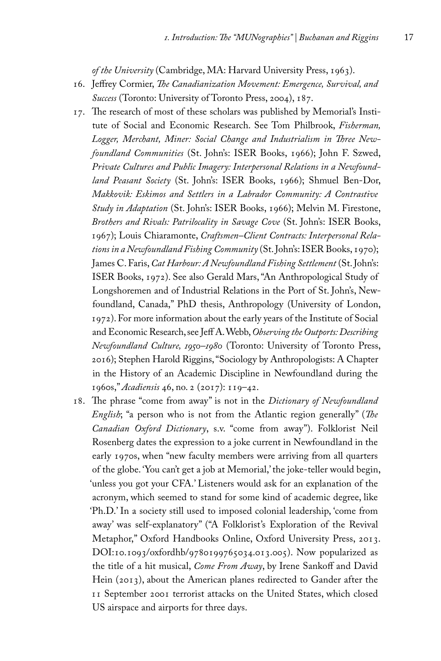*of the University* (Cambridge, MA: Harvard University Press, 1963).

- 16. Jeffrey Cormier, *The Canadianization Movement: Emergence, Survival, and Success* (Toronto: University of Toronto Press, 2004), 187.
- 17. The research of most of these scholars was published by Memorial's Institute of Social and Economic Research. See Tom Philbrook, *Fisherman, Logger, Merchant, Miner: Social Change and Industrialism in Three Newfoundland Communities* (St. John's: ISER Books, 1966); John F. Szwed, *Private Cultures and Public Imagery: Interpersonal Relations in a Newfoundland Peasant Society* (St. John's: ISER Books, 1966); Shmuel Ben-Dor, *Makkovik: Eskimos and Settlers in a Labrador Community: A Contrastive Study in Adaptation* (St. John's: ISER Books, 1966); Melvin M. Firestone, *Brothers and Rivals: Patrilocality in Savage Cove* (St. John's: ISER Books, 1967); Louis Chiaramonte, *Craftsmen–Client Contracts: Interpersonal Relations in a Newfoundland Fishing Community* (St. John's: ISER Books, 1970); James C. Faris, *Cat Harbour: A Newfoundland Fishing Settlement* (St. John's: ISER Books, 1972). See also Gerald Mars, "An Anthropological Study of Longshoremen and of Industrial Relations in the Port of St. John's, Newfoundland, Canada," PhD thesis, Anthropology (University of London, 1972). For more information about the early years of the Institute of Social and Economic Research, see Jeff A. Webb, *Observing the Outports: Describing Newfoundland Culture, 1950–1980* (Toronto: University of Toronto Press, 2016); Stephen Harold Riggins, "Sociology by Anthropologists: A Chapter in the History of an Academic Discipline in Newfoundland during the 1960s," *Acadiensis* 46, no. 2 (2017): 119–42.
- 18. The phrase "come from away" is not in the *Dictionary of Newfoundland English*; "a person who is not from the Atlantic region generally" (*The Canadian Oxford Dictionary*, s.v. "come from away"). Folklorist Neil Rosenberg dates the expression to a joke current in Newfoundland in the early 1970s, when "new faculty members were arriving from all quarters of the globe. 'You can't get a job at Memorial,' the joke-teller would begin, 'unless you got your CFA.' Listeners would ask for an explanation of the acronym, which seemed to stand for some kind of academic degree, like 'Ph.D.' In a society still used to imposed colonial leadership, 'come from away' was self-explanatory" ("A Folklorist's Exploration of the Revival Metaphor," Oxford Handbooks Online, Oxford University Press, 2013. DOI:10.1093/oxfordhb/9780199765034.013.005). Now popularized as the title of a hit musical, *Come From Away*, by Irene Sankoff and David Hein (2013), about the American planes redirected to Gander after the 11 September 2001 terrorist attacks on the United States, which closed US airspace and airports for three days.